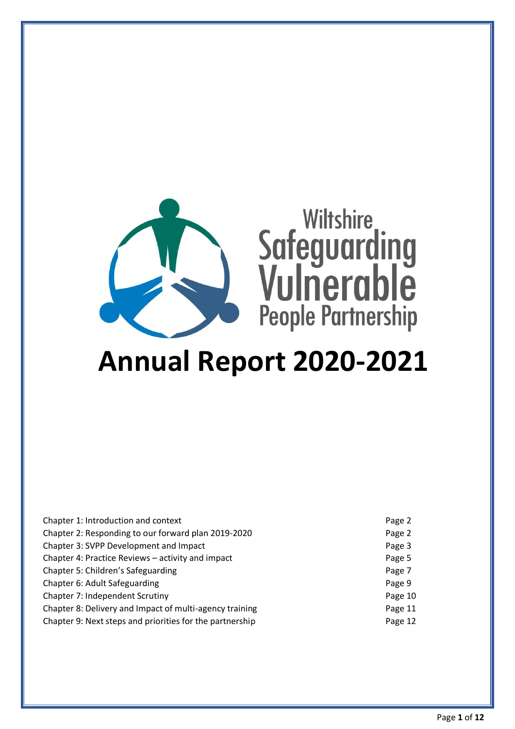

# **Annual Report 2020-2021**

| Chapter 1: Introduction and context                      | Page 2  |
|----------------------------------------------------------|---------|
| Chapter 2: Responding to our forward plan 2019-2020      | Page 2  |
| Chapter 3: SVPP Development and Impact                   | Page 3  |
| Chapter 4: Practice Reviews – activity and impact        | Page 5  |
| Chapter 5: Children's Safeguarding                       | Page 7  |
| Chapter 6: Adult Safeguarding                            | Page 9  |
| Chapter 7: Independent Scrutiny                          | Page 10 |
| Chapter 8: Delivery and Impact of multi-agency training  | Page 11 |
| Chapter 9: Next steps and priorities for the partnership | Page 12 |
|                                                          |         |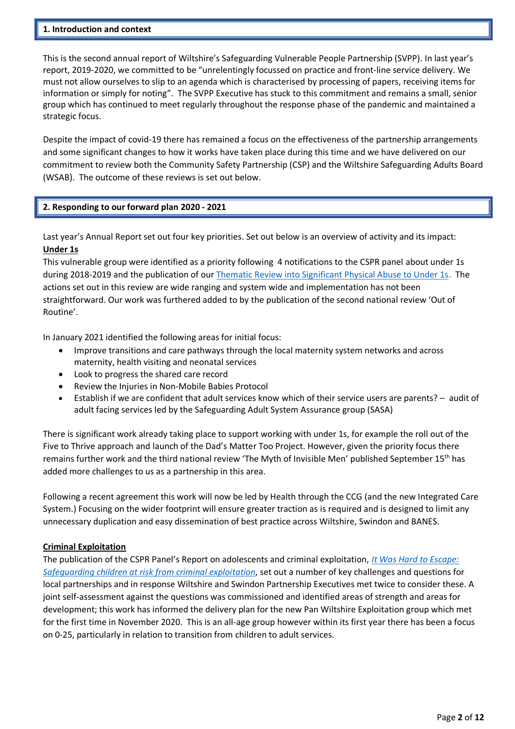#### **1. Introduction and context**

This is the second annual report of Wiltshire's Safeguarding Vulnerable People Partnership (SVPP). In last year's report, 2019-2020, we committed to be "unrelentingly focussed on practice and front-line service delivery. We must not allow ourselves to slip to an agenda which is characterised by processing of papers, receiving items for information or simply for noting". The SVPP Executive has stuck to this commitment and remains a small, senior group which has continued to meet regularly throughout the response phase of the pandemic and maintained a strategic focus.

Despite the impact of covid-19 there has remained a focus on the effectiveness of the partnership arrangements and some significant changes to how it works have taken place during this time and we have delivered on our commitment to review both the Community Safety Partnership (CSP) and the Wiltshire Safeguarding Adults Board (WSAB). The outcome of these reviews is set out below.

## **2. Responding to our forward plan 2020 - 2021**

Last year's Annual Report set out four key priorities. Set out below is an overview of activity and its impact: **Under 1s**

This vulnerable group were identified as a priority following 4 notifications to the CSPR panel about under 1s during 2018-2019 and the publication of our [Thematic Review into Significant Physical Abuse to Under 1s.](http://www.wiltshirescb.org.uk/wp-content/uploads/2019/11/Thematic-Review-SIGNIFICANT-PHYSICAL-ABUSE-IN-CHILDREN-UNDER-1_-local-child-safeguarding-practice-review.pdf) The actions set out in this review are wide ranging and system wide and implementation has not been straightforward. Our work was furthered added to by the publication of the second national review 'Out of Routine'.

In January 2021 identified the following areas for initial focus:

- Improve transitions and care pathways through the local maternity system networks and across maternity, health visiting and neonatal services
- Look to progress the shared care record
- Review the Injuries in Non-Mobile Babies Protocol
- Establish if we are confident that adult services know which of their service users are parents? audit of adult facing services led by the Safeguarding Adult System Assurance group (SASA)

There is significant work already taking place to support working with under 1s, for example the roll out of the Five to Thrive approach and launch of the Dad's Matter Too Project. However, given the priority focus there remains further work and the third national review 'The Myth of Invisible Men' published September 15<sup>th</sup> has added more challenges to us as a partnership in this area.

Following a recent agreement this work will now be led by Health through the CCG (and the new Integrated Care System.) Focusing on the wider footprint will ensure greater traction as is required and is designed to limit any unnecessary duplication and easy dissemination of best practice across Wiltshire, Swindon and BANES.

#### **Criminal Exploitation**

The publication of the CSPR Panel's Report on adolescents and criminal exploitation, *[It Was Hard to Escape:](https://www.gov.uk/government/publications/safeguarding-children-at-risk-from-criminal-exploitation)  [Safeguarding children at risk from criminal exploitation](https://www.gov.uk/government/publications/safeguarding-children-at-risk-from-criminal-exploitation)*, set out a number of key challenges and questions for local partnerships and in response Wiltshire and Swindon Partnership Executives met twice to consider these. A joint self-assessment against the questions was commissioned and identified areas of strength and areas for development; this work has informed the delivery plan for the new Pan Wiltshire Exploitation group which met for the first time in November 2020. This is an all-age group however within its first year there has been a focus on 0-25, particularly in relation to transition from children to adult services.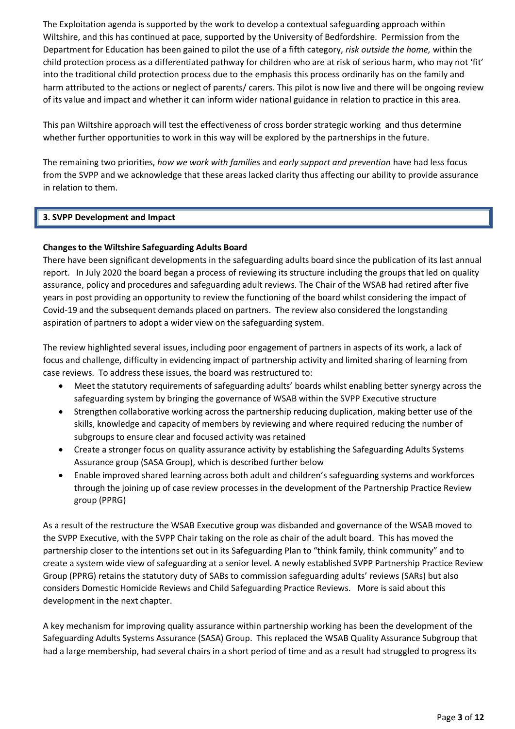The Exploitation agenda is supported by the work to develop a contextual safeguarding approach within Wiltshire, and this has continued at pace, supported by the University of Bedfordshire. Permission from the Department for Education has been gained to pilot the use of a fifth category, *risk outside the home,* within the child protection process as a differentiated pathway for children who are at risk of serious harm, who may not 'fit' into the traditional child protection process due to the emphasis this process ordinarily has on the family and harm attributed to the actions or neglect of parents/ carers. This pilot is now live and there will be ongoing review of its value and impact and whether it can inform wider national guidance in relation to practice in this area.

This pan Wiltshire approach will test the effectiveness of cross border strategic working and thus determine whether further opportunities to work in this way will be explored by the partnerships in the future.

The remaining two priorities, *how we work with families* and *early support and prevention* have had less focus from the SVPP and we acknowledge that these areas lacked clarity thus affecting our ability to provide assurance in relation to them.

## **3. SVPP Development and Impact**

## **Changes to the Wiltshire Safeguarding Adults Board**

There have been significant developments in the safeguarding adults board since the publication of its last annual report. In July 2020 the board began a process of reviewing its structure including the groups that led on quality assurance, policy and procedures and safeguarding adult reviews. The Chair of the WSAB had retired after five years in post providing an opportunity to review the functioning of the board whilst considering the impact of Covid-19 and the subsequent demands placed on partners. The review also considered the longstanding aspiration of partners to adopt a wider view on the safeguarding system.

The review highlighted several issues, including poor engagement of partners in aspects of its work, a lack of focus and challenge, difficulty in evidencing impact of partnership activity and limited sharing of learning from case reviews. To address these issues, the board was restructured to:

- Meet the statutory requirements of safeguarding adults' boards whilst enabling better synergy across the safeguarding system by bringing the governance of WSAB within the SVPP Executive structure
- Strengthen collaborative working across the partnership reducing duplication, making better use of the skills, knowledge and capacity of members by reviewing and where required reducing the number of subgroups to ensure clear and focused activity was retained
- Create a stronger focus on quality assurance activity by establishing the Safeguarding Adults Systems Assurance group (SASA Group), which is described further below
- Enable improved shared learning across both adult and children's safeguarding systems and workforces through the joining up of case review processes in the development of the Partnership Practice Review group (PPRG)

As a result of the restructure the WSAB Executive group was disbanded and governance of the WSAB moved to the SVPP Executive, with the SVPP Chair taking on the role as chair of the adult board. This has moved the partnership closer to the intentions set out in its Safeguarding Plan to "think family, think community" and to create a system wide view of safeguarding at a senior level. A newly established SVPP Partnership Practice Review Group (PPRG) retains the statutory duty of SABs to commission safeguarding adults' reviews (SARs) but also considers Domestic Homicide Reviews and Child Safeguarding Practice Reviews. More is said about this development in the next chapter.

A key mechanism for improving quality assurance within partnership working has been the development of the Safeguarding Adults Systems Assurance (SASA) Group. This replaced the WSAB Quality Assurance Subgroup that had a large membership, had several chairs in a short period of time and as a result had struggled to progress its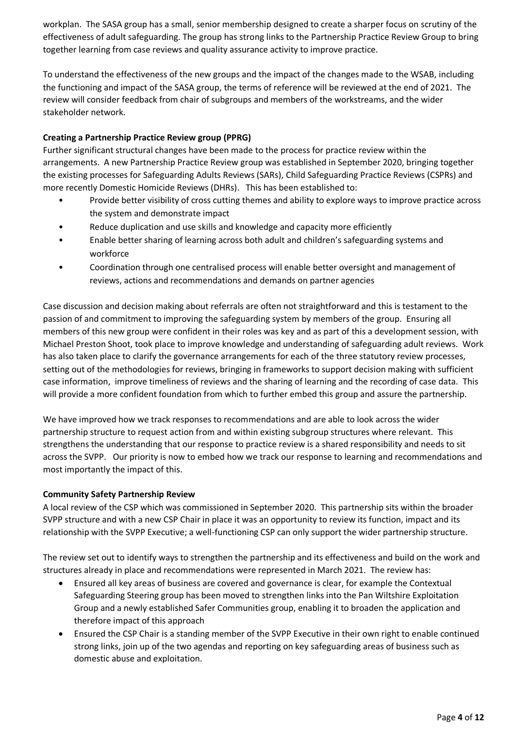workplan. The SASA group has a small, senior membership designed to create a sharper focus on scrutiny of the effectiveness of adult safeguarding. The group has strong links to the Partnership Practice Review Group to bring together learning from case reviews and quality assurance activity to improve practice.

To understand the effectiveness of the new groups and the impact of the changes made to the WSAB, including the functioning and impact of the SASA group, the terms of reference will be reviewed at the end of 2021. The review will consider feedback from chair of subgroups and members of the workstreams, and the wider stakeholder network.

# **Creating a Partnership Practice Review group (PPRG)**

Further significant structural changes have been made to the process for practice review within the arrangements. A new Partnership Practice Review group was established in September 2020, bringing together the existing processes for Safeguarding Adults Reviews (SARs), Child Safeguarding Practice Reviews (CSPRs) and more recently Domestic Homicide Reviews (DHRs). This has been established to:

- Provide better visibility of cross cutting themes and ability to explore ways to improve practice across the system and demonstrate impact
- Reduce duplication and use skills and knowledge and capacity more efficiently
- Enable better sharing of learning across both adult and children's safeguarding systems and workforce
- Coordination through one centralised process will enable better oversight and management of reviews, actions and recommendations and demands on partner agencies

Case discussion and decision making about referrals are often not straightforward and this is testament to the passion of and commitment to improving the safeguarding system by members of the group. Ensuring all members of this new group were confident in their roles was key and as part of this a development session, with Michael Preston Shoot, took place to improve knowledge and understanding of safeguarding adult reviews. Work has also taken place to clarify the governance arrangements for each of the three statutory review processes, setting out of the methodologies for reviews, bringing in frameworks to support decision making with sufficient case information, improve timeliness of reviews and the sharing of learning and the recording of case data. This will provide a more confident foundation from which to further embed this group and assure the partnership.

We have improved how we track responses to recommendations and are able to look across the wider partnership structure to request action from and within existing subgroup structures where relevant. This strengthens the understanding that our response to practice review is a shared responsibility and needs to sit across the SVPP. Our priority is now to embed how we track our response to learning and recommendations and most importantly the impact of this.

# **Community Safety Partnership Review**

A local review of the CSP which was commissioned in September 2020. This partnership sits within the broader SVPP structure and with a new CSP Chair in place it was an opportunity to review its function, impact and its relationship with the SVPP Executive; a well-functioning CSP can only support the wider partnership structure.

The review set out to identify ways to strengthen the partnership and its effectiveness and build on the work and structures already in place and recommendations were represented in March 2021. The review has:

- Ensured all key areas of business are covered and governance is clear, for example the Contextual Safeguarding Steering group has been moved to strengthen links into the Pan Wiltshire Exploitation Group and a newly established Safer Communities group, enabling it to broaden the application and therefore impact of this approach
- Ensured the CSP Chair is a standing member of the SVPP Executive in their own right to enable continued strong links, join up of the two agendas and reporting on key safeguarding areas of business such as domestic abuse and exploitation.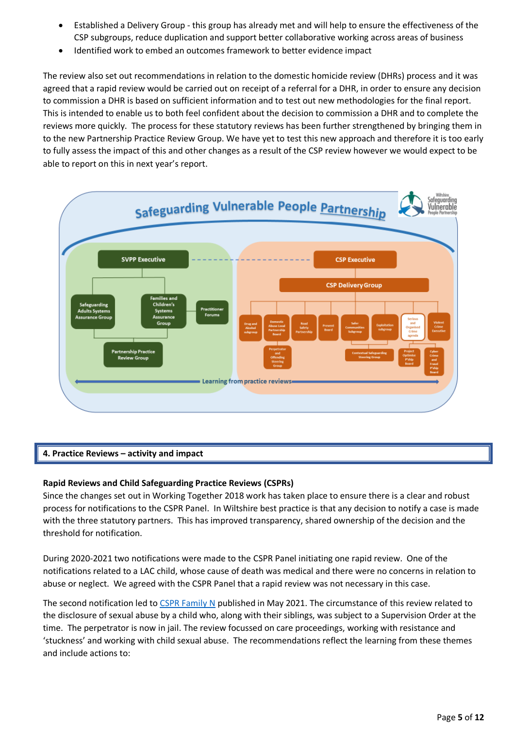- Established a Delivery Group this group has already met and will help to ensure the effectiveness of the CSP subgroups, reduce duplication and support better collaborative working across areas of business
- Identified work to embed an outcomes framework to better evidence impact

The review also set out recommendations in relation to the domestic homicide review (DHRs) process and it was agreed that a rapid review would be carried out on receipt of a referral for a DHR, in order to ensure any decision to commission a DHR is based on sufficient information and to test out new methodologies for the final report. This is intended to enable us to both feel confident about the decision to commission a DHR and to complete the reviews more quickly. The process for these statutory reviews has been further strengthened by bringing them in to the new Partnership Practice Review Group. We have yet to test this new approach and therefore it is too early to fully assess the impact of this and other changes as a result of the CSP review however we would expect to be able to report on this in next year's report.



# **4. Practice Reviews – activity and impact**

## **Rapid Reviews and Child Safeguarding Practice Reviews (CSPRs)**

Since the changes set out in Working Together 2018 work has taken place to ensure there is a clear and robust process for notifications to the CSPR Panel. In Wiltshire best practice is that any decision to notify a case is made with the three statutory partners. This has improved transparency, shared ownership of the decision and the threshold for notification.

During 2020-2021 two notifications were made to the CSPR Panel initiating one rapid review. One of the notifications related to a LAC child, whose cause of death was medical and there were no concerns in relation to abuse or neglect. We agreed with the CSPR Panel that a rapid review was not necessary in this case.

The second notification led to [CSPR Family N](http://www.wiltshirescb.org.uk/wp-content/uploads/2021/05/CSPR-Report-Family-N-Final-Report.pdf) published in May 2021. The circumstance of this review related to the disclosure of sexual abuse by a child who, along with their siblings, was subject to a Supervision Order at the time. The perpetrator is now in jail. The review focussed on care proceedings, working with resistance and 'stuckness' and working with child sexual abuse. The recommendations reflect the learning from these themes and include actions to: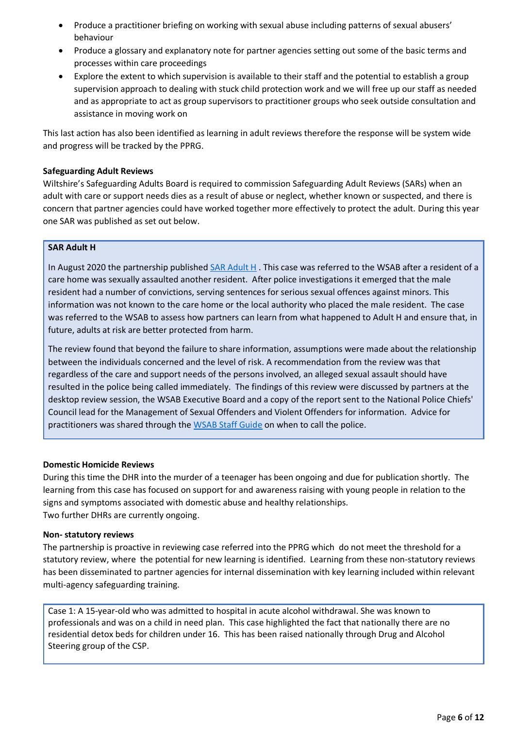- Produce a practitioner briefing on working with sexual abuse including patterns of sexual abusers' behaviour
- Produce a glossary and explanatory note for partner agencies setting out some of the basic terms and processes within care proceedings
- Explore the extent to which supervision is available to their staff and the potential to establish a group supervision approach to dealing with stuck child protection work and we will free up our staff as needed and as appropriate to act as group supervisors to practitioner groups who seek outside consultation and assistance in moving work on

This last action has also been identified as learning in adult reviews therefore the response will be system wide and progress will be tracked by the PPRG.

## **Safeguarding Adult Reviews**

Wiltshire's Safeguarding Adults Board is required to commission Safeguarding Adult Reviews (SARs) when an adult with care or support needs dies as a result of abuse or neglect, whether known or suspected, and there is concern that partner agencies could have worked together more effectively to protect the adult. During this year one SAR was published as set out below.

## **SAR Adult H**

In August 2020 the partnership published [SAR Adult H](https://www.wiltshiresab.org.uk/wp-content/uploads/2020/08/Adult-H-Learning-Briefing.pdf). This case was referred to the WSAB after a resident of a care home was sexually assaulted another resident. After police investigations it emerged that the male resident had a number of convictions, serving sentences for serious sexual offences against minors. This information was not known to the care home or the local authority who placed the male resident. The case was referred to the WSAB to assess how partners can learn from what happened to Adult H and ensure that, in future, adults at risk are better protected from harm.

The review found that beyond the failure to share information, assumptions were made about the relationship between the individuals concerned and the level of risk. A recommendation from the review was that regardless of the care and support needs of the persons involved, an alleged sexual assault should have resulted in the police being called immediately. The findings of this review were discussed by partners at the desktop review session, the WSAB Executive Board and a copy of the report sent to the National Police Chiefs' Council lead for the Management of Sexual Offenders and Violent Offenders for information. Advice for practitioners was shared through the [WSAB Staff Guide](https://www.wiltshiresab.org.uk/wp-content/uploads/2019/06/WSAB-Staff-Guide-May-2019-1.3.pdf) on when to call the police.

## **Domestic Homicide Reviews**

During this time the DHR into the murder of a teenager has been ongoing and due for publication shortly. The learning from this case has focused on support for and awareness raising with young people in relation to the signs and symptoms associated with domestic abuse and healthy relationships. Two further DHRs are currently ongoing.

## **Non- statutory reviews**

The partnership is proactive in reviewing case referred into the PPRG which do not meet the threshold for a statutory review, where the potential for new learning is identified. Learning from these non-statutory reviews has been disseminated to partner agencies for internal dissemination with key learning included within relevant multi-agency safeguarding training.

Case 1: A 15-year-old who was admitted to hospital in acute alcohol withdrawal. She was known to professionals and was on a child in need plan. This case highlighted the fact that nationally there are no residential detox beds for children under 16. This has been raised nationally through Drug and Alcohol Steering group of the CSP.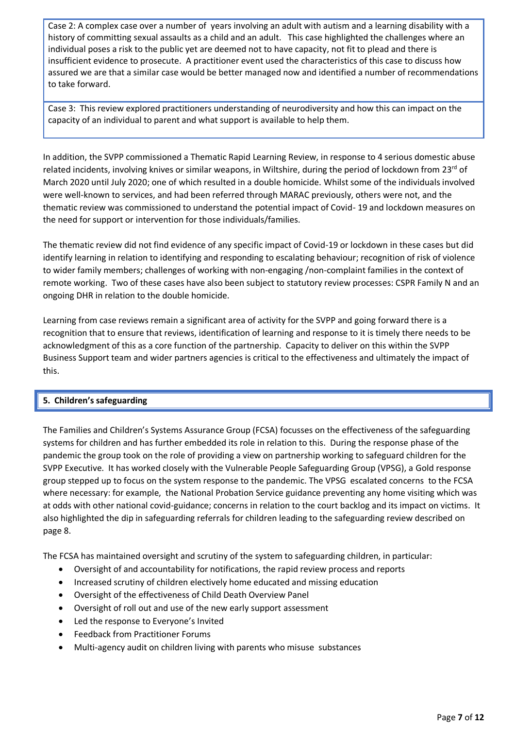Case 2: A complex case over a number of years involving an adult with autism and a learning disability with a history of committing sexual assaults as a child and an adult. This case highlighted the challenges where an individual poses a risk to the public yet are deemed not to have capacity, not fit to plead and there is insufficient evidence to prosecute. A practitioner event used the characteristics of this case to discuss how assured we are that a similar case would be better managed now and identified a number of recommendations to take forward.

Case 3: This review explored practitioners understanding of neurodiversity and how this can impact on the capacity of an individual to parent and what support is available to help them.

In addition, the SVPP commissioned a Thematic Rapid Learning Review, in response to 4 serious domestic abuse related incidents, involving knives or similar weapons, in Wiltshire, during the period of lockdown from 23<sup>rd</sup> of March 2020 until July 2020; one of which resulted in a double homicide. Whilst some of the individuals involved were well-known to services, and had been referred through MARAC previously, others were not, and the thematic review was commissioned to understand the potential impact of Covid- 19 and lockdown measures on the need for support or intervention for those individuals/families.

The thematic review did not find evidence of any specific impact of Covid-19 or lockdown in these cases but did identify learning in relation to identifying and responding to escalating behaviour; recognition of risk of violence to wider family members; challenges of working with non-engaging /non-complaint families in the context of remote working. Two of these cases have also been subject to statutory review processes: CSPR Family N and an ongoing DHR in relation to the double homicide.

Learning from case reviews remain a significant area of activity for the SVPP and going forward there is a recognition that to ensure that reviews, identification of learning and response to it is timely there needs to be acknowledgment of this as a core function of the partnership. Capacity to deliver on this within the SVPP Business Support team and wider partners agencies is critical to the effectiveness and ultimately the impact of this.

# **5. Children's safeguarding**

The Families and Children's Systems Assurance Group (FCSA) focusses on the effectiveness of the safeguarding systems for children and has further embedded its role in relation to this. During the response phase of the pandemic the group took on the role of providing a view on partnership working to safeguard children for the SVPP Executive. It has worked closely with the Vulnerable People Safeguarding Group (VPSG), a Gold response group stepped up to focus on the system response to the pandemic. The VPSG escalated concerns to the FCSA where necessary: for example, the National Probation Service guidance preventing any home visiting which was at odds with other national covid-guidance; concerns in relation to the court backlog and its impact on victims. It also highlighted the dip in safeguarding referrals for children leading to the safeguarding review described on page 8.

The FCSA has maintained oversight and scrutiny of the system to safeguarding children, in particular:

- Oversight of and accountability for notifications, the rapid review process and reports
- Increased scrutiny of children electively home educated and missing education
- Oversight of the effectiveness of Child Death Overview Panel
- Oversight of roll out and use of the new early support assessment
- Led the response to Everyone's Invited
- Feedback from Practitioner Forums
- Multi-agency audit on children living with parents who misuse substances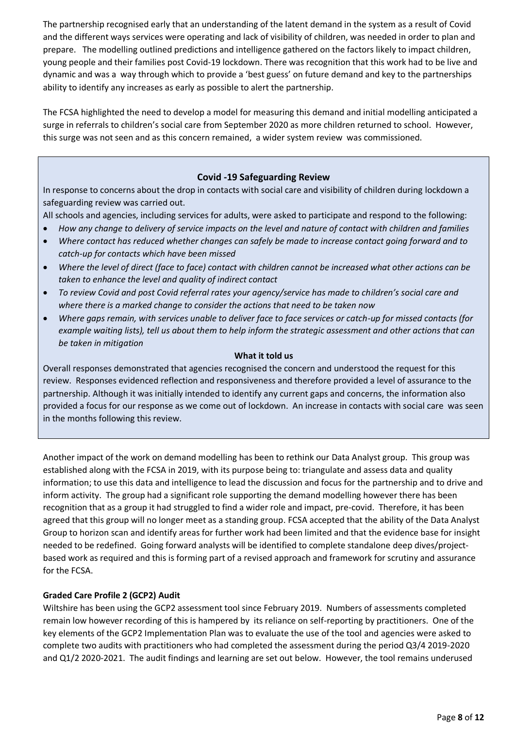The partnership recognised early that an understanding of the latent demand in the system as a result of Covid and the different ways services were operating and lack of visibility of children, was needed in order to plan and prepare. The modelling outlined predictions and intelligence gathered on the factors likely to impact children, young people and their families post Covid-19 lockdown. There was recognition that this work had to be live and dynamic and was a way through which to provide a 'best guess' on future demand and key to the partnerships ability to identify any increases as early as possible to alert the partnership.

The FCSA highlighted the need to develop a model for measuring this demand and initial modelling anticipated a surge in referrals to children's social care from September 2020 as more children returned to school. However, this surge was not seen and as this concern remained, a wider system review was commissioned.

## **Covid -19 Safeguarding Review**

In response to concerns about the drop in contacts with social care and visibility of children during lockdown a safeguarding review was carried out.

All schools and agencies, including services for adults, were asked to participate and respond to the following:

- *How any change to delivery of service impacts on the level and nature of contact with children and families*
- *Where contact has reduced whether changes can safely be made to increase contact going forward and to catch-up for contacts which have been missed*
- *Where the level of direct (face to face) contact with children cannot be increased what other actions can be taken to enhance the level and quality of indirect contact*
- *To review Covid and post Covid referral rates your agency/service has made to children's social care and where there is a marked change to consider the actions that need to be taken now*
- *Where gaps remain, with services unable to deliver face to face services or catch-up for missed contacts (for example waiting lists), tell us about them to help inform the strategic assessment and other actions that can be taken in mitigation*

#### **What it told us**

Overall responses demonstrated that agencies recognised the concern and understood the request for this review. Responses evidenced reflection and responsiveness and therefore provided a level of assurance to the partnership. Although it was initially intended to identify any current gaps and concerns, the information also provided a focus for our response as we come out of lockdown. An increase in contacts with social care was seen in the months following this review.

Another impact of the work on demand modelling has been to rethink our Data Analyst group. This group was established along with the FCSA in 2019, with its purpose being to: triangulate and assess data and quality information; to use this data and intelligence to lead the discussion and focus for the partnership and to drive and inform activity. The group had a significant role supporting the demand modelling however there has been recognition that as a group it had struggled to find a wider role and impact, pre-covid. Therefore, it has been agreed that this group will no longer meet as a standing group. FCSA accepted that the ability of the Data Analyst Group to horizon scan and identify areas for further work had been limited and that the evidence base for insight needed to be redefined. Going forward analysts will be identified to complete standalone deep dives/projectbased work as required and this is forming part of a revised approach and framework for scrutiny and assurance for the FCSA.

## **Graded Care Profile 2 (GCP2) Audit**

Wiltshire has been using the GCP2 assessment tool since February 2019. Numbers of assessments completed remain low however recording of this is hampered by its reliance on self-reporting by practitioners. One of the key elements of the GCP2 Implementation Plan was to evaluate the use of the tool and agencies were asked to complete two audits with practitioners who had completed the assessment during the period Q3/4 2019-2020 and Q1/2 2020-2021. The audit findings and learning are set out below. However, the tool remains underused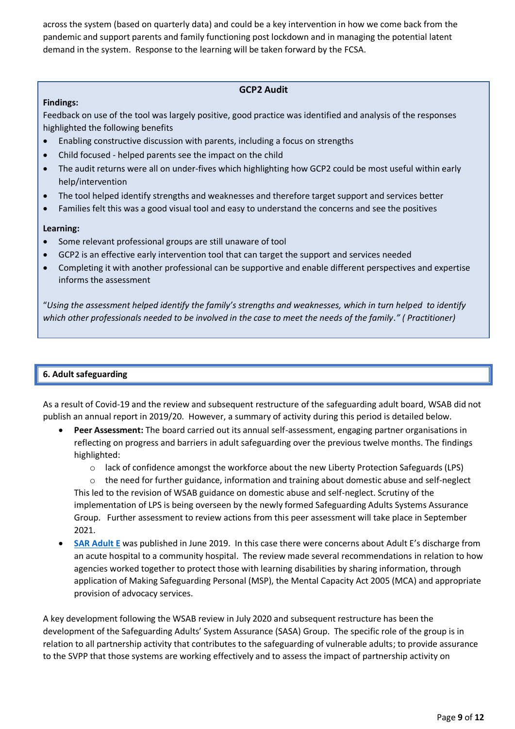across the system (based on quarterly data) and could be a key intervention in how we come back from the pandemic and support parents and family functioning post lockdown and in managing the potential latent demand in the system. Response to the learning will be taken forward by the FCSA.

## **GCP2 Audit**

## **Findings:**

Feedback on use of the tool was largely positive, good practice was identified and analysis of the responses highlighted the following benefits

- Enabling constructive discussion with parents, including a focus on strengths
- Child focused helped parents see the impact on the child
- The audit returns were all on under-fives which highlighting how GCP2 could be most useful within early help/intervention
- The tool helped identify strengths and weaknesses and therefore target support and services better
- Families felt this was a good visual tool and easy to understand the concerns and see the positives

## **Learning:**

- Some relevant professional groups are still unaware of tool
- GCP2 is an effective early intervention tool that can target the support and services needed
- Completing it with another professional can be supportive and enable different perspectives and expertise informs the assessment

"*Using the assessment helped identify the family's strengths and weaknesses, which in turn helped to identify which other professionals needed to be involved in the case to meet the needs of the family." ( Practitioner)*

# **6. Adult safeguarding**

As a result of Covid-19 and the review and subsequent restructure of the safeguarding adult board, WSAB did not publish an annual report in 2019/20. However, a summary of activity during this period is detailed below.

- **Peer Assessment:** The board carried out its annual self-assessment, engaging partner organisations in reflecting on progress and barriers in adult safeguarding over the previous twelve months. The findings highlighted:
	- o lack of confidence amongst the workforce about the new Liberty Protection Safeguards (LPS)

 $\circ$  the need for further guidance, information and training about domestic abuse and self-neglect This led to the revision of WSAB guidance on domestic abuse and self-neglect. Scrutiny of the implementation of LPS is being overseen by the newly formed Safeguarding Adults Systems Assurance Group. Further assessment to review actions from this peer assessment will take place in September 2021.

• **[SAR Adult E](https://www.wiltshiresab.org.uk/wp-content/uploads/2019/06/WSAB-Safeguarding-Adults-Review-Adult-E.docx)** was published in June 2019. In this case there were concerns about Adult E's discharge from an acute hospital to a community hospital. The review made several recommendations in relation to how agencies worked together to protect those with learning disabilities by sharing information, through application of Making Safeguarding Personal (MSP), the Mental Capacity Act 2005 (MCA) and appropriate provision of advocacy services.

A key development following the WSAB review in July 2020 and subsequent restructure has been the development of the Safeguarding Adults' System Assurance (SASA) Group. The specific role of the group is in relation to all partnership activity that contributes to the safeguarding of vulnerable adults; to provide assurance to the SVPP that those systems are working effectively and to assess the impact of partnership activity on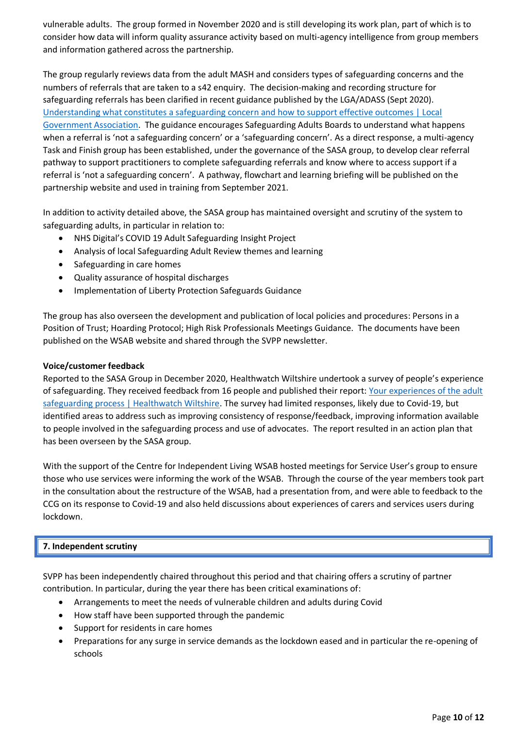vulnerable adults. The group formed in November 2020 and is still developing its work plan, part of which is to consider how data will inform quality assurance activity based on multi-agency intelligence from group members and information gathered across the partnership.

The group regularly reviews data from the adult MASH and considers types of safeguarding concerns and the numbers of referrals that are taken to a s42 enquiry. The decision-making and recording structure for safeguarding referrals has been clarified in recent guidance published by the LGA/ADASS (Sept 2020). [Understanding what constitutes a safeguarding concern and how to support effective outcomes | Local](https://www.local.gov.uk/understanding-what-constitutes-safeguarding-concern-and-how-support-effective-outcomes)  [Government Association.](https://www.local.gov.uk/understanding-what-constitutes-safeguarding-concern-and-how-support-effective-outcomes) The guidance encourages Safeguarding Adults Boards to understand what happens when a referral is 'not a safeguarding concern' or a 'safeguarding concern'. As a direct response, a multi-agency Task and Finish group has been established, under the governance of the SASA group, to develop clear referral pathway to support practitioners to complete safeguarding referrals and know where to access support if a referral is 'not a safeguarding concern'. A pathway, flowchart and learning briefing will be published on the partnership website and used in training from September 2021.

In addition to activity detailed above, the SASA group has maintained oversight and scrutiny of the system to safeguarding adults, in particular in relation to:

- NHS Digital's COVID 19 Adult Safeguarding Insight Project
- Analysis of local Safeguarding Adult Review themes and learning
- Safeguarding in care homes
- Quality assurance of hospital discharges
- Implementation of Liberty Protection Safeguards Guidance

The group has also overseen the development and publication of local policies and procedures: Persons in a Position of Trust; Hoarding Protocol; High Risk Professionals Meetings Guidance. The documents have been published on the WSAB website and shared through the SVPP newsletter.

## **Voice/customer feedback**

Reported to the SASA Group in December 2020, Healthwatch Wiltshire undertook a survey of people's experience of safeguarding. They received feedback from 16 people and published their report[: Your experiences of the adult](https://www.healthwatchwiltshire.co.uk/report/2021-02-01/your-experiences-adult-safeguarding-process)  [safeguarding process | Healthwatch Wiltshire.](https://www.healthwatchwiltshire.co.uk/report/2021-02-01/your-experiences-adult-safeguarding-process) The survey had limited responses, likely due to Covid-19, but identified areas to address such as improving consistency of response/feedback, improving information available to people involved in the safeguarding process and use of advocates. The report resulted in an action plan that has been overseen by the SASA group.

With the support of the Centre for Independent Living WSAB hosted meetings for Service User's group to ensure those who use services were informing the work of the WSAB. Through the course of the year members took part in the consultation about the restructure of the WSAB, had a presentation from, and were able to feedback to the CCG on its response to Covid-19 and also held discussions about experiences of carers and services users during lockdown.

## **7. Independent scrutiny**

SVPP has been independently chaired throughout this period and that chairing offers a scrutiny of partner contribution. In particular, during the year there has been critical examinations of:

- Arrangements to meet the needs of vulnerable children and adults during Covid
- How staff have been supported through the pandemic
- Support for residents in care homes
- Preparations for any surge in service demands as the lockdown eased and in particular the re-opening of schools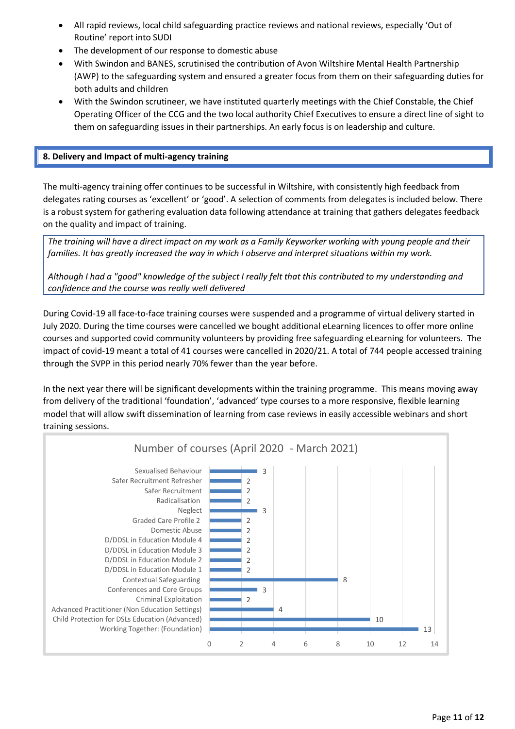- All rapid reviews, local child safeguarding practice reviews and national reviews, especially 'Out of Routine' report into SUDI
- The development of our response to domestic abuse
- With Swindon and BANES, scrutinised the contribution of Avon Wiltshire Mental Health Partnership (AWP) to the safeguarding system and ensured a greater focus from them on their safeguarding duties for both adults and children
- With the Swindon scrutineer, we have instituted quarterly meetings with the Chief Constable, the Chief Operating Officer of the CCG and the two local authority Chief Executives to ensure a direct line of sight to them on safeguarding issues in their partnerships. An early focus is on leadership and culture.

## **8. Delivery and Impact of multi-agency training**

The multi-agency training offer continues to be successful in Wiltshire, with consistently high feedback from delegates rating courses as 'excellent' or 'good'. A selection of comments from delegates is included below. There is a robust system for gathering evaluation data following attendance at training that gathers delegates feedback on the quality and impact of training.

*The training will have a direct impact on my work as a Family Keyworker working with young people and their families. It has greatly increased the way in which I observe and interpret situations within my work.*

*Although I had a "good" knowledge of the subject I really felt that this contributed to my understanding and confidence and the course was really well delivered*

During Covid-19 all face-to-face training courses were suspended and a programme of virtual delivery started in July 2020. During the time courses were cancelled we bought additional eLearning licences to offer more online courses and supported covid community volunteers by providing free safeguarding eLearning for volunteers. The impact of covid-19 meant a total of 41 courses were cancelled in 2020/21. A total of 744 people accessed training through the SVPP in this period nearly 70% fewer than the year before.

In the next year there will be significant developments within the training programme. This means moving away from delivery of the traditional 'foundation', 'advanced' type courses to a more responsive, flexible learning model that will allow swift dissemination of learning from case reviews in easily accessible webinars and short training sessions.